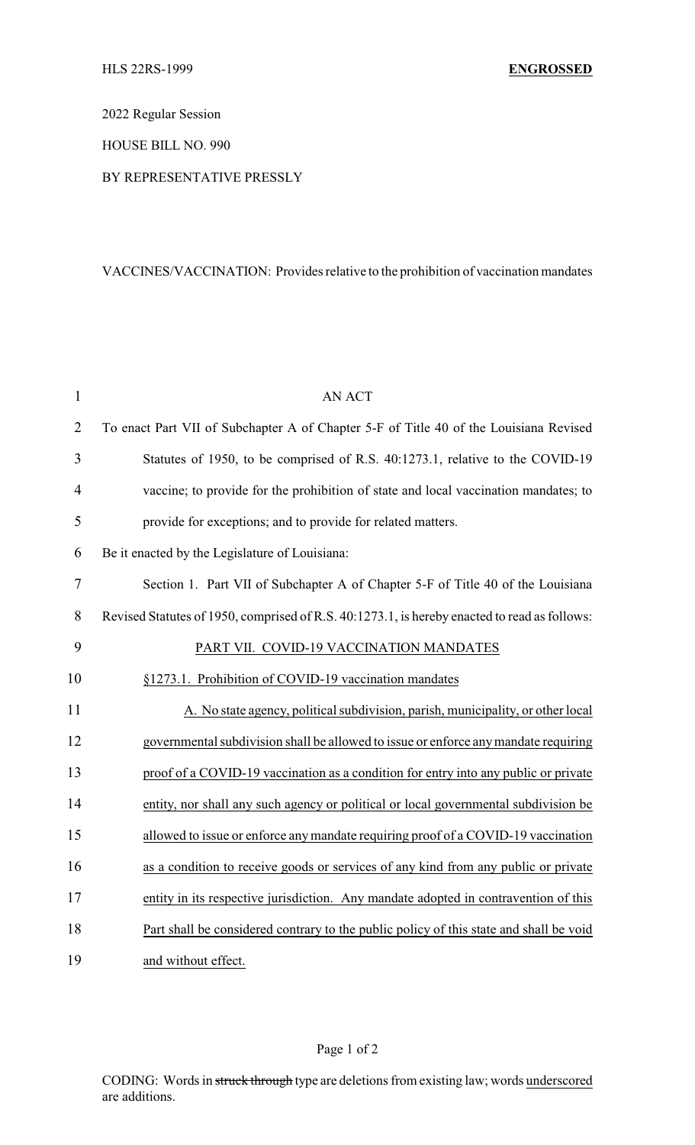2022 Regular Session

HOUSE BILL NO. 990

## BY REPRESENTATIVE PRESSLY

## VACCINES/VACCINATION: Provides relative to the prohibition of vaccination mandates

| $\mathbf{1}$   | <b>AN ACT</b>                                                                                |
|----------------|----------------------------------------------------------------------------------------------|
| $\overline{2}$ | To enact Part VII of Subchapter A of Chapter 5-F of Title 40 of the Louisiana Revised        |
| 3              | Statutes of 1950, to be comprised of R.S. 40:1273.1, relative to the COVID-19                |
| 4              | vaccine; to provide for the prohibition of state and local vaccination mandates; to          |
| 5              | provide for exceptions; and to provide for related matters.                                  |
| 6              | Be it enacted by the Legislature of Louisiana:                                               |
| 7              | Section 1. Part VII of Subchapter A of Chapter 5-F of Title 40 of the Louisiana              |
| $8\,$          | Revised Statutes of 1950, comprised of R.S. 40:1273.1, is hereby enacted to read as follows: |
| 9              | PART VII. COVID-19 VACCINATION MANDATES                                                      |
| 10             | §1273.1. Prohibition of COVID-19 vaccination mandates                                        |
| 11             | A. No state agency, political subdivision, parish, municipality, or other local              |
| 12             | governmental subdivision shall be allowed to issue or enforce any mandate requiring          |
| 13             | proof of a COVID-19 vaccination as a condition for entry into any public or private          |
| 14             | entity, nor shall any such agency or political or local governmental subdivision be          |
| 15             | allowed to issue or enforce any mandate requiring proof of a COVID-19 vaccination            |
| 16             | as a condition to receive goods or services of any kind from any public or private           |
| 17             | entity in its respective jurisdiction. Any mandate adopted in contravention of this          |
| 18             | Part shall be considered contrary to the public policy of this state and shall be void       |
| 19             | and without effect.                                                                          |